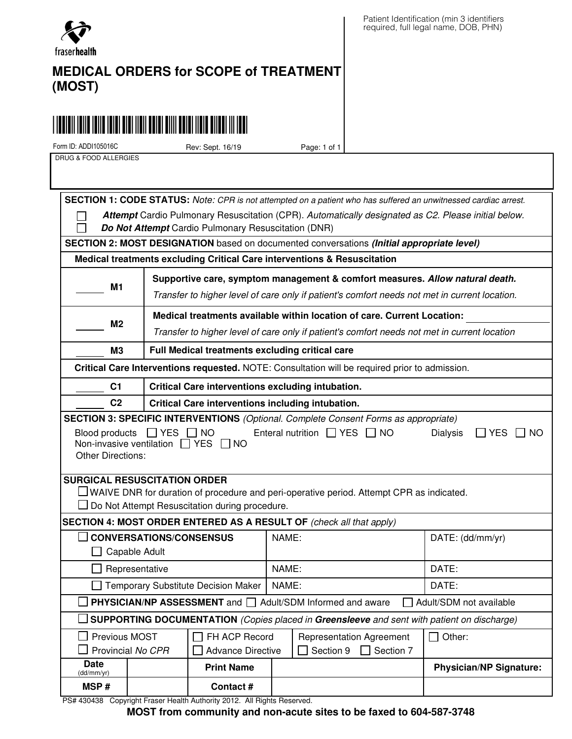

## **MEDICAL ORDERS for SCOPE of TREATMENT (MOST)**

# \*ADDI1105016C\*ADDI105016C\*ADDI105016C\*ADDI1105016C\*ADDI1105016C\*ADDI1105016C\*ADD

Form ID: ADDI105016C Rev: Sept. 16/19 Page: 1 of 1

DRUG & FOOD ALLERGIES

 **SECTION 1: CODE STATUS:** Note: CPR is not attempted on a patient who has suffered an unwitnessed cardiac arrest. **Attempt** Cardio Pulmonary Resuscitation (CPR). Automatically designated as C2. Please initial below. П П **Do Not Attempt** Cardio Pulmonary Resuscitation (DNR)  **SECTION 2: MOST DESIGNATION** based on documented conversations **(Initial appropriate level) Medical treatments excluding Critical Care interventions & Resuscitation M1 Supportive care, symptom management & comfort measures. Allow natural death.**  Transfer to higher level of care only if patient's comfort needs not met in current location. **Medical treatments available within location of care. Current Location: M2** Transfer to higher level of care only if patient's comfort needs not met in current location **M3 Full Medical treatments excluding critical care Critical Care Interventions requested.** NOTE: Consultation will be required prior to admission. **C1 Critical Care interventions excluding intubation. C2 Critical Care interventions including intubation. SECTION 3: SPECIFIC INTERVENTIONS** (Optional. Complete Consent Forms as appropriate) Blood products  $\Box$  YES  $\Box$  NO Enteral nutrition  $\Box$  YES  $\Box$  NO Dialysis  $\Box$  YES  $\Box$  NO Non-invasive ventilation  $\Box$  YES  $\Box$  NO Other Directions: **SURGICAL RESUSCITATION ORDER**  $\Box$  WAIVE DNR for duration of procedure and peri-operative period. Attempt CPR as indicated.  $\Box$  Do Not Attempt Resuscitation during procedure.  **SECTION 4: MOST ORDER ENTERED AS A RESULT OF** (check all that apply) **CONVERSATIONS/CONSENSUS** NAME: DATE: (dd/mm/yr) **Capable Adult** Representative NAME: IDATE: □ Temporary Substitute Decision Maker | NAME:  $\Box$  DATE: **PHYSICIAN/NP ASSESSMENT** and  $\Box$  Adult/SDM Informed and aware  $\Box$  Adult/SDM not available **SUPPORTING DOCUMENTATION** (Copies placed in **Greensleeve** and sent with patient on discharge)  $\Box$  Previous MOST  $\Box$  FH ACP Record Representation Agreement  $\Box$  Other:  $\Box$  Provincial No CPR  $\Box$  Advance Directive  $\Box$  Section 9  $\Box$  Section 7 **Date**<br>(dd/mm/yr) (dd/mm/yr) **Print Name Physician/NP Signature: MSP # Contact #**

PS# 430438 Copyright Fraser Health Authority 2012. All Rights Reserved.

**MOST from community and non-acute sites to be faxed to 604-587-3748**